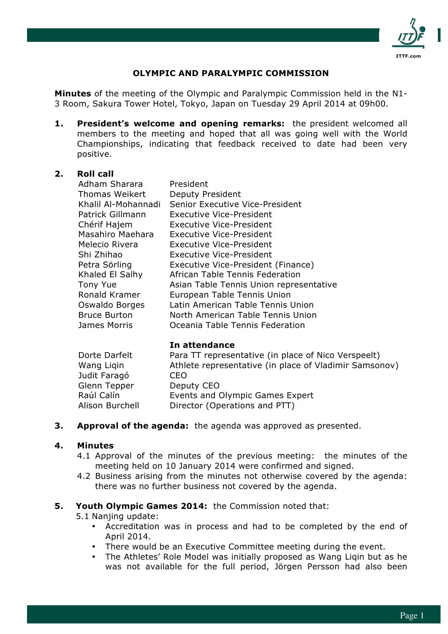

# **OLYMPIC AND PARALYMPIC COMMISSION**

**Minutes** of the meeting of the Olympic and Paralympic Commission held in the N1- 3 Room, Sakura Tower Hotel, Tokyo, Japan on Tuesday 29 April 2014 at 09h00.

**1. President's welcome and opening remarks:** the president welcomed all members to the meeting and hoped that all was going well with the World Championships, indicating that feedback received to date had been very positive.

## **2. Roll call**

| Adham Sharara       | President                               |
|---------------------|-----------------------------------------|
| Thomas Weikert      | Deputy President                        |
| Khalil Al-Mohannadi | Senior Executive Vice-President         |
| Patrick Gillmann    | Executive Vice-President                |
| Chérif Hajem        | Executive Vice-President                |
| Masahiro Maehara    | Executive Vice-President                |
| Melecio Rivera      | Executive Vice-President                |
| Shi Zhihao          | <b>Executive Vice-President</b>         |
| Petra Sörling       | Executive Vice-President (Finance)      |
| Khaled El Salhy     | African Table Tennis Federation         |
| <b>Tony Yue</b>     | Asian Table Tennis Union representative |
| Ronald Kramer       | European Table Tennis Union             |
| Oswaldo Borges      | Latin American Table Tennis Union       |
| <b>Bruce Burton</b> | North American Table Tennis Union       |
| James Morris        | Oceania Table Tennis Federation         |

#### **In attendance**

| Dorte Darfelt          | Para TT representative (in place of Nico Verspeelt)    |
|------------------------|--------------------------------------------------------|
| Wang Ligin             | Athlete representative (in place of Vladimir Samsonov) |
| Judit Faragó           | CEO                                                    |
| Glenn Tepper           | Deputy CEO                                             |
| Raúl Calín             | Events and Olympic Games Expert                        |
| <b>Alison Burchell</b> | Director (Operations and PTT)                          |

**3. Approval of the agenda:** the agenda was approved as presented.

#### **4. Minutes**

- 4.1 Approval of the minutes of the previous meeting: the minutes of the meeting held on 10 January 2014 were confirmed and signed.
- 4.2 Business arising from the minutes not otherwise covered by the agenda: there was no further business not covered by the agenda.

## **5. Youth Olympic Games 2014:** the Commission noted that:

5.1 Nanjing update:

- Accreditation was in process and had to be completed by the end of April 2014.
- There would be an Executive Committee meeting during the event.
- The Athletes' Role Model was initially proposed as Wang Ligin but as he was not available for the full period, Jörgen Persson had also been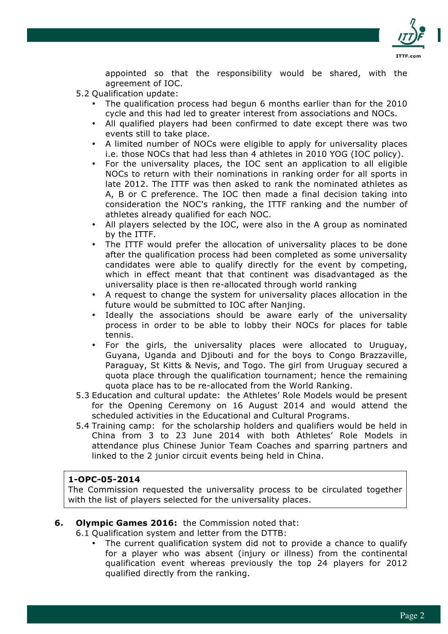

appointed so that the responsibility would be shared, with the agreement of IOC.

- 5.2 Qualification update:
	- The qualification process had begun 6 months earlier than for the 2010 cycle and this had led to greater interest from associations and NOCs.
	- All qualified players had been confirmed to date except there was two events still to take place.
	- A limited number of NOCs were eligible to apply for universality places i.e. those NOCs that had less than 4 athletes in 2010 YOG (IOC policy).
	- For the universality places, the IOC sent an application to all eligible NOCs to return with their nominations in ranking order for all sports in late 2012. The ITTF was then asked to rank the nominated athletes as A, B or C preference. The IOC then made a final decision taking into consideration the NOC's ranking, the ITTF ranking and the number of athletes already qualified for each NOC.
	- All players selected by the IOC, were also in the A group as nominated by the ITTF.
	- The ITTF would prefer the allocation of universality places to be done after the qualification process had been completed as some universality candidates were able to qualify directly for the event by competing, which in effect meant that that continent was disadvantaged as the universality place is then re-allocated through world ranking
	- A request to change the system for universality places allocation in the future would be submitted to IOC after Nanjing.
	- Ideally the associations should be aware early of the universality process in order to be able to lobby their NOCs for places for table tennis.
	- For the girls, the universality places were allocated to Uruguay, Guyana, Uganda and Djibouti and for the boys to Congo Brazzaville, Paraguay, St Kitts & Nevis, and Togo. The girl from Uruguay secured a quota place through the qualification tournament; hence the remaining quota place has to be re-allocated from the World Ranking.
- 5.3 Education and cultural update: the Athletes' Role Models would be present for the Opening Ceremony on 16 August 2014 and would attend the scheduled activities in the Educational and Cultural Programs.
- 5.4 Training camp: for the scholarship holders and qualifiers would be held in China from 3 to 23 June 2014 with both Athletes' Role Models in attendance plus Chinese Junior Team Coaches and sparring partners and linked to the 2 junior circuit events being held in China.

## **1-OPC-05-2014**

The Commission requested the universality process to be circulated together with the list of players selected for the universality places.

## **6. Olympic Games 2016:** the Commission noted that:

6.1 Qualification system and letter from the DTTB:

• The current qualification system did not to provide a chance to qualify for a player who was absent (injury or illness) from the continental qualification event whereas previously the top 24 players for 2012 qualified directly from the ranking.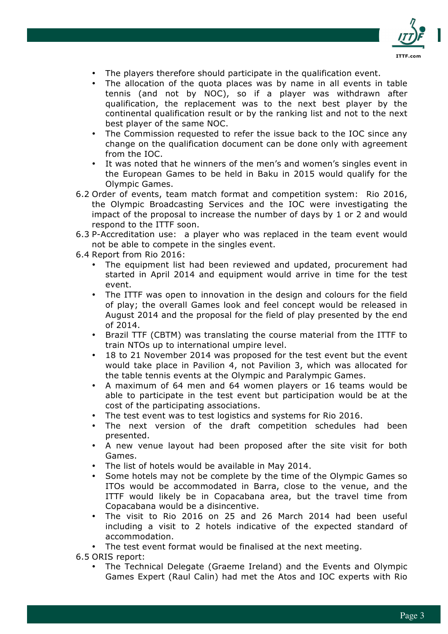

- The players therefore should participate in the qualification event.
- The allocation of the quota places was by name in all events in table tennis (and not by NOC), so if a player was withdrawn after qualification, the replacement was to the next best player by the continental qualification result or by the ranking list and not to the next best player of the same NOC.
- The Commission requested to refer the issue back to the IOC since any change on the qualification document can be done only with agreement from the IOC.
- It was noted that he winners of the men's and women's singles event in the European Games to be held in Baku in 2015 would qualify for the Olympic Games.
- 6.2 Order of events, team match format and competition system: Rio 2016, the Olympic Broadcasting Services and the IOC were investigating the impact of the proposal to increase the number of days by 1 or 2 and would respond to the ITTF soon.
- 6.3 P-Accreditation use: a player who was replaced in the team event would not be able to compete in the singles event.
- 6.4 Report from Rio 2016:
	- The equipment list had been reviewed and updated, procurement had started in April 2014 and equipment would arrive in time for the test event.
	- The ITTF was open to innovation in the design and colours for the field of play; the overall Games look and feel concept would be released in August 2014 and the proposal for the field of play presented by the end of 2014.
	- Brazil TTF (CBTM) was translating the course material from the ITTF to train NTOs up to international umpire level.
	- 18 to 21 November 2014 was proposed for the test event but the event would take place in Pavilion 4, not Pavilion 3, which was allocated for the table tennis events at the Olympic and Paralympic Games.
	- A maximum of 64 men and 64 women players or 16 teams would be able to participate in the test event but participation would be at the cost of the participating associations.
	- The test event was to test logistics and systems for Rio 2016.
	- The next version of the draft competition schedules had been presented.
	- A new venue layout had been proposed after the site visit for both Games.
	- The list of hotels would be available in May 2014.
	- Some hotels may not be complete by the time of the Olympic Games so ITOs would be accommodated in Barra, close to the venue, and the ITTF would likely be in Copacabana area, but the travel time from Copacabana would be a disincentive.
	- The visit to Rio 2016 on 25 and 26 March 2014 had been useful including a visit to 2 hotels indicative of the expected standard of accommodation.

• The test event format would be finalised at the next meeting.

6.5 ORIS report:

• The Technical Delegate (Graeme Ireland) and the Events and Olympic Games Expert (Raul Calin) had met the Atos and IOC experts with Rio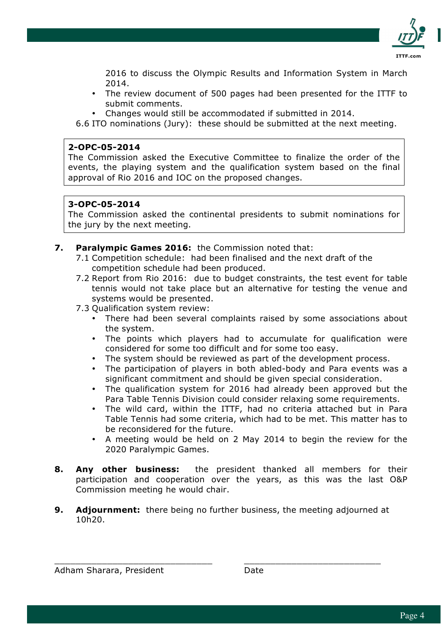

2016 to discuss the Olympic Results and Information System in March 2014.

- The review document of 500 pages had been presented for the ITTF to submit comments.
- Changes would still be accommodated if submitted in 2014.

6.6 ITO nominations (Jury): these should be submitted at the next meeting.

## **2-OPC-05-2014**

The Commission asked the Executive Committee to finalize the order of the events, the playing system and the qualification system based on the final approval of Rio 2016 and IOC on the proposed changes.

## **3-OPC-05-2014**

The Commission asked the continental presidents to submit nominations for the jury by the next meeting.

## **7. Paralympic Games 2016:** the Commission noted that:

- 7.1 Competition schedule: had been finalised and the next draft of the competition schedule had been produced.
- 7.2 Report from Rio 2016: due to budget constraints, the test event for table tennis would not take place but an alternative for testing the venue and systems would be presented.
- 7.3 Qualification system review:
	- There had been several complaints raised by some associations about the system.
	- The points which players had to accumulate for qualification were considered for some too difficult and for some too easy.
	- The system should be reviewed as part of the development process.
	- The participation of players in both abled-body and Para events was a significant commitment and should be given special consideration.
	- The qualification system for 2016 had already been approved but the Para Table Tennis Division could consider relaxing some requirements.
	- The wild card, within the ITTF, had no criteria attached but in Para Table Tennis had some criteria, which had to be met. This matter has to be reconsidered for the future.
	- A meeting would be held on 2 May 2014 to begin the review for the 2020 Paralympic Games.
- **8. Any other business:** the president thanked all members for their participation and cooperation over the years, as this was the last O&P Commission meeting he would chair.
- **9. Adjournment:** there being no further business, the meeting adjourned at 10h20.

\_\_\_\_\_\_\_\_\_\_\_\_\_\_\_\_\_\_\_\_\_\_\_\_\_\_\_\_\_\_ \_\_\_\_\_\_\_\_\_\_\_\_\_\_\_\_\_\_\_\_\_\_\_\_\_\_